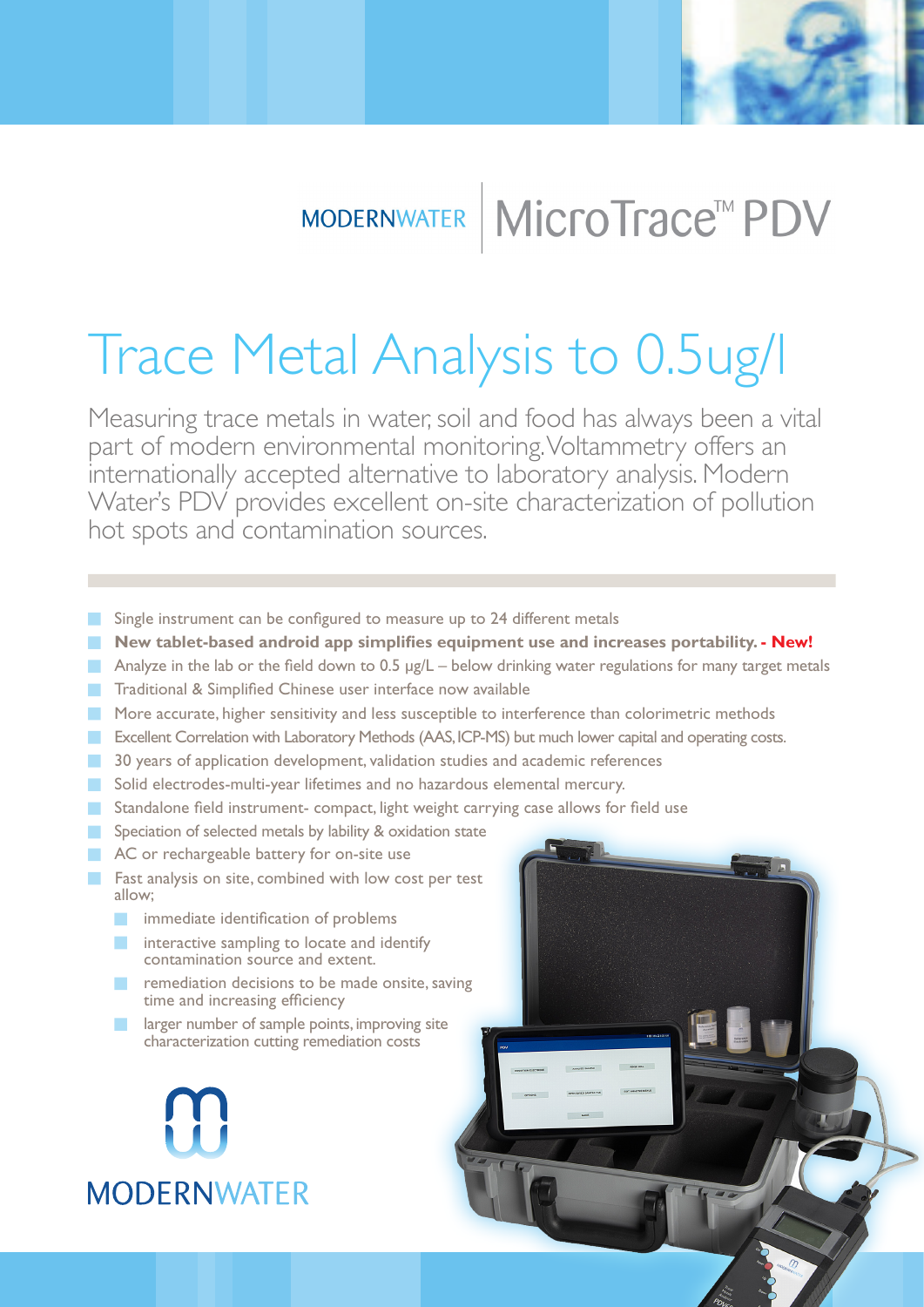

## MODERNWATER | MICroTrace™ PDV

# Trace Metal Analysis to 0.5ug/l

Measuring trace metals in water, soil and food has always been a vital part of modern environmental monitoring. Voltammetry offers an internationally accepted alternative to laboratory analysis. Modern Water's PDV provides excellent on-site characterization of pollution hot spots and contamination sources.

- Single instrument can be configured to measure up to 24 different metals
- **New tablet-based android app simplifies equipment use and increases portability. New! The State**
- $\Box$ Analyze in the lab or the field down to 0.5 μg/L – below drinking water regulations for many target metals
- Traditional & Simplified Chinese user interface now available  $\mathcal{L}_{\mathcal{A}}$
- **More accurate, higher sensitivity and less susceptible to interference than colorimetric methods**
- **EXECUTE:** Excellent Correlation with Laboratory Methods (AAS, ICP-MS) but much lower capital and operating costs.
- 30 years of application development, validation studies and academic references **Tale**
- Solid electrodes-multi-year lifetimes and no hazardous elemental mercury.
- **Standalone field instrument- compact, light weight carrying case allows for field use**
- Speciation of selected metals by lability & oxidation state
- AC or rechargeable battery for on-site use
- **Fast analysis on site, combined with low cost per test** allow;
	- **inmediate identification of problems**
	- interactive sampling to locate and identify contamination source and extent.
	- **T** remediation decisions to be made onsite, saving time and increasing efficiency
	- larger number of sample points, improving site characterization cutting remediation costs

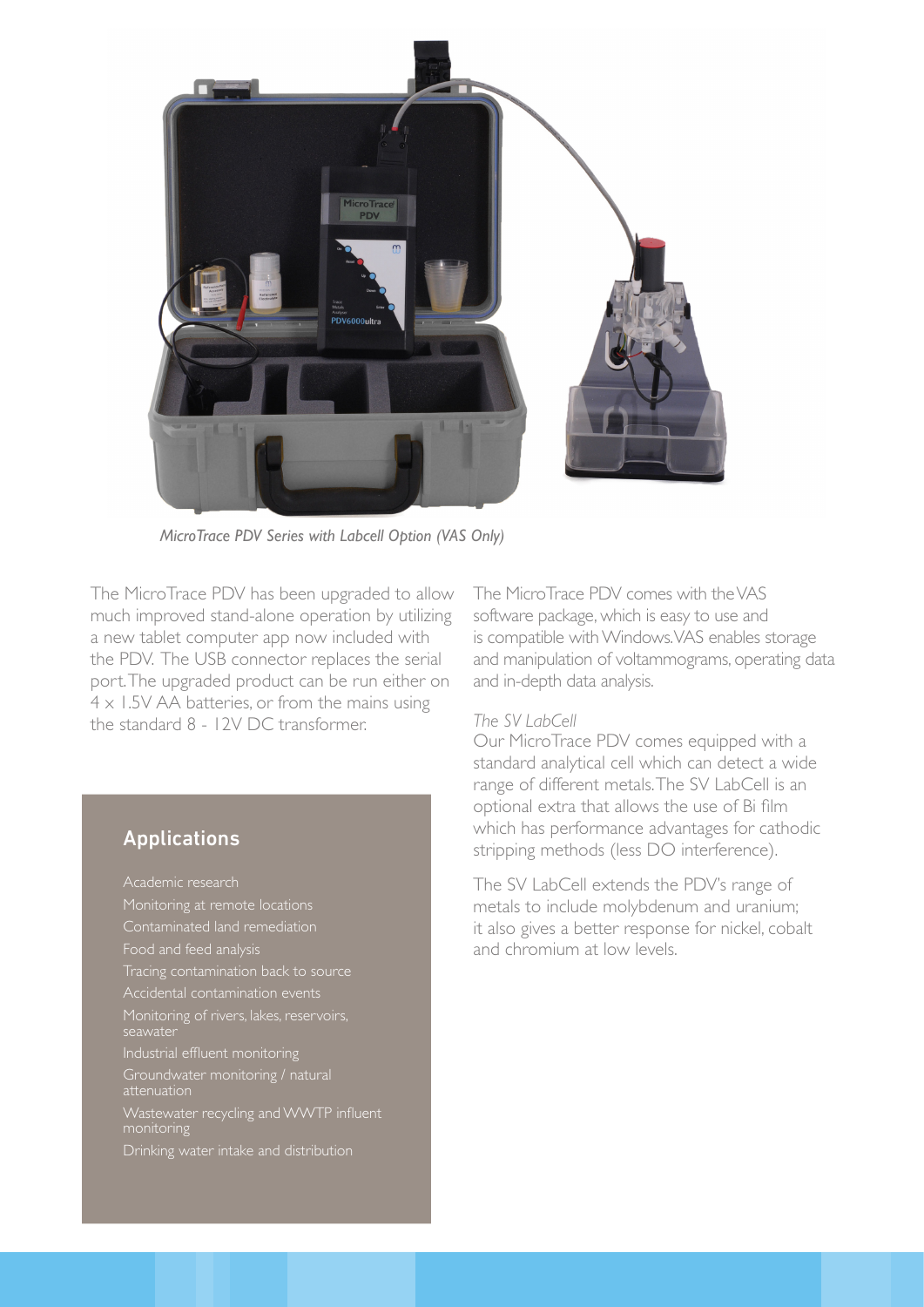

*MicroTrace PDV Series with Labcell Option (VAS Only)*

The MicroTrace PDV has been upgraded to allow much improved stand-alone operation by utilizing a new tablet computer app now included with the PDV. The USB connector replaces the serial port. The upgraded product can be run either on  $4 \times 1.5V$  AA batteries, or from the mains using the standard 8 - 12V DC transformer.

### Applications

Academic research Contaminated land remediation Food and feed analysis Tracing contamination back to source Monitoring of rivers, lakes, reservoirs, Industrial effluent monitoring monitoring Drinking water intake and distribution

The MicroTrace PDV comes with the VAS software package, which is easy to use and is compatible with Windows. VAS enables storage and manipulation of voltammograms, operating data and in-depth data analysis.

#### *The SV LabCell*

Our MicroTrace PDV comes equipped with a standard analytical cell which can detect a wide range of different metals. The SV LabCell is an optional extra that allows the use of Bi film which has performance advantages for cathodic stripping methods (less DO interference).

The SV LabCell extends the PDV's range of metals to include molybdenum and uranium; it also gives a better response for nickel, cobalt and chromium at low levels.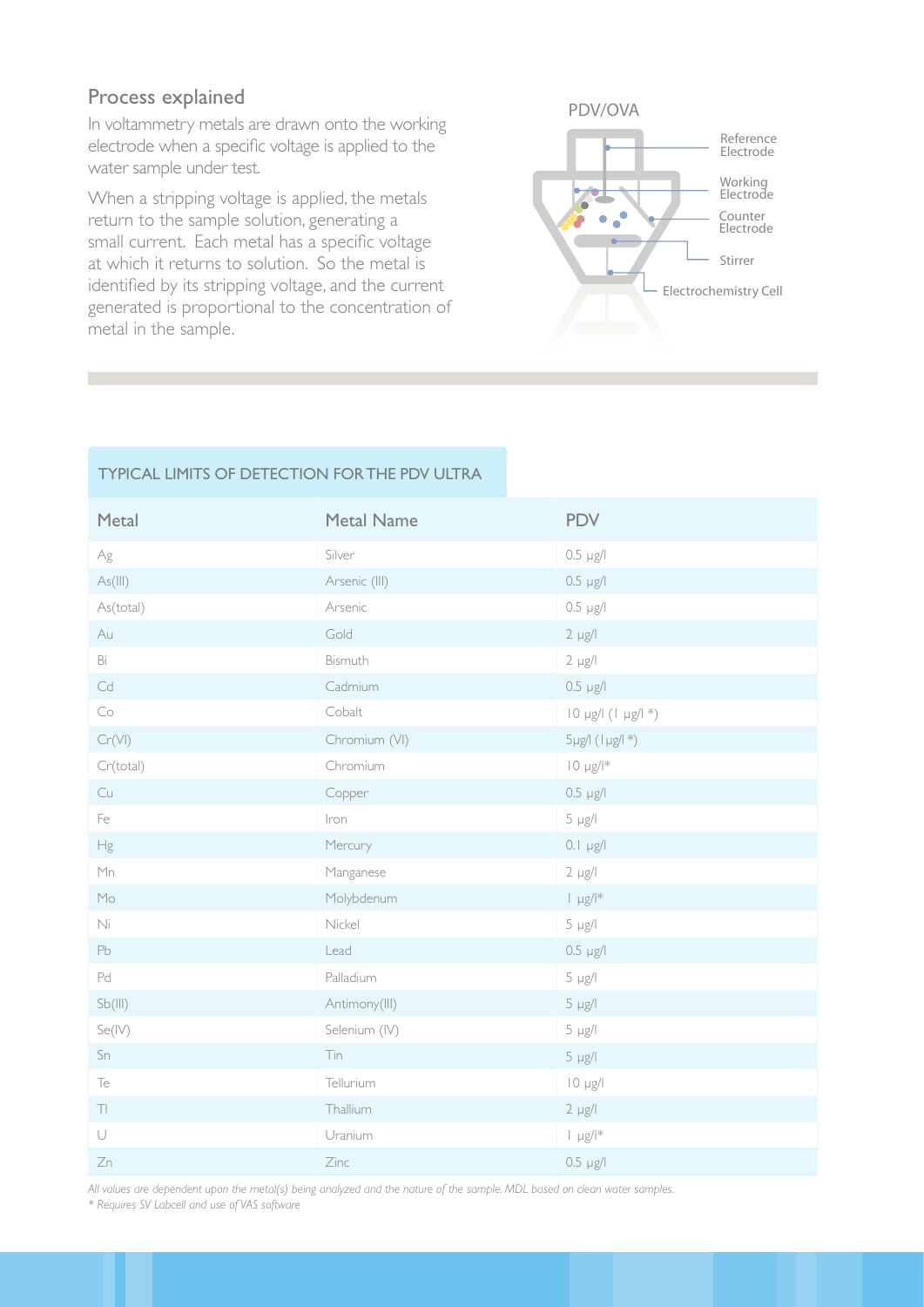### Process explained

In voltammetry metals are drawn onto the working electrode when a specific voltage is applied to the water sample under test.

When a stripping voltage is applied, the metals return to the sample solution, generating a small current. Each metal has a specific voltage at which it returns to solution. So the metal is identified by its stripping voltage, and the current generated is proportional to the concentration of metal in the sample.



#### TYPICAL LIMITS OF DETECTION FOR THE PDV ULTRA

| Metal                          | <b>Metal Name</b> | <b>PDV</b>                  |
|--------------------------------|-------------------|-----------------------------|
| $\mathsf{Ag}$                  | Silver            | $0.5 \text{ }\mu\text{g/l}$ |
| As (III)                       | Arsenic (III)     | $0.5 \mu g/l$               |
| As(total)                      | Arsenic           | $0.5 \mu g/l$               |
| Au                             | Gold              | $2 \mu g/l$                 |
| Bi                             | Bismuth           | $2 \mu g/l$                 |
| $\mathbb{C}\mathrm{d}$         | Cadmium           | $0.5 \mu g/l$               |
| $\mathop{\mathsf{Co}}$         | Cobalt            | 10 µg/l (1 µg/l *)          |
| Cr(VI)                         | Chromium (VI)     | $5\mu g$ / $(1\mu g/1*)$    |
| Cr(total)                      | Chromium          | $10 \mu g/l^*$              |
| Cu                             | Copper            | $0.5$ $\mu$ g/l             |
| Fe                             | Iron              | $5 \mu g/l$                 |
| Hg                             | Mercury           | $0.1$ µg/l                  |
| Mn                             | Manganese         | $2 \mu g/l$                 |
| Mo                             | Molybdenum        | $  \mu g /   \cdot$         |
| Ni                             | Nickel            | $5 \mu g/l$                 |
| Pb                             | Lead              | $0.5 \mu g/l$               |
| Pd                             | Palladium         | $5 \mu g/l$                 |
| Sb(III)                        | Antimony(III)     | $5 \mu g/l$                 |
| Se(IV)                         | Selenium (IV)     | $5 \mu g/l$                 |
| $\mathsf{Sn}$                  | Tin               | $5 \mu g/l$                 |
| $\top e$                       | Tellurium         | $10 \mu g/l$                |
| $\top\!\!\!\!\top\!\!\!\!\top$ | Thallium          | $2 \mu g/l$                 |
| $\cup$                         | Uranium           | $  \mu g /   \ast$          |
| Zn                             | Zinc              | $0.5 \mu g/l$               |

*All values are dependent upon the metal(s) being analyzed and the nature of the sample. MDL based on clean water samples.*

*\* Requires SV Labcell and use of VAS software*